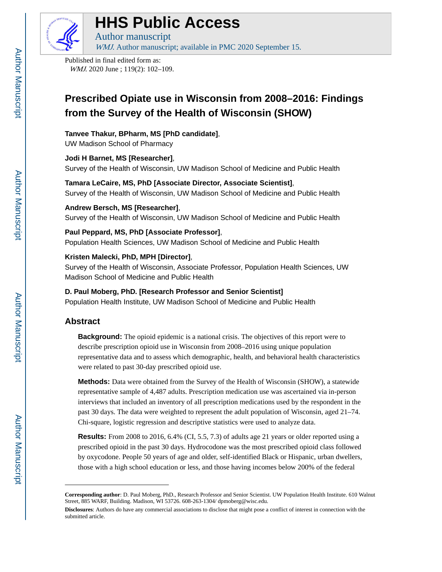

# **HHS Public Access**

Author manuscript WMJ. Author manuscript; available in PMC 2020 September 15.

Published in final edited form as: WMJ. 2020 June ; 119(2): 102-109.

## **Prescribed Opiate use in Wisconsin from 2008–2016: Findings from the Survey of the Health of Wisconsin (SHOW)**

#### **Tanvee Thakur, BPharm, MS [PhD candidate]**,

UW Madison School of Pharmacy

#### **Jodi H Barnet, MS [Researcher]**,

Survey of the Health of Wisconsin, UW Madison School of Medicine and Public Health

#### **Tamara LeCaire, MS, PhD [Associate Director, Associate Scientist]**, Survey of the Health of Wisconsin, UW Madison School of Medicine and Public Health

**Andrew Bersch, MS [Researcher]**, Survey of the Health of Wisconsin, UW Madison School of Medicine and Public Health

#### **Paul Peppard, MS, PhD [Associate Professor]**,

Population Health Sciences, UW Madison School of Medicine and Public Health

#### **Kristen Malecki, PhD, MPH [Director]**,

Survey of the Health of Wisconsin, Associate Professor, Population Health Sciences, UW Madison School of Medicine and Public Health

#### **D. Paul Moberg, PhD. [Research Professor and Senior Scientist]**

Population Health Institute, UW Madison School of Medicine and Public Health

### **Abstract**

**Background:** The opioid epidemic is a national crisis. The objectives of this report were to describe prescription opioid use in Wisconsin from 2008–2016 using unique population representative data and to assess which demographic, health, and behavioral health characteristics were related to past 30-day prescribed opioid use.

**Methods:** Data were obtained from the Survey of the Health of Wisconsin (SHOW), a statewide representative sample of 4,487 adults. Prescription medication use was ascertained via in-person interviews that included an inventory of all prescription medications used by the respondent in the past 30 days. The data were weighted to represent the adult population of Wisconsin, aged 21–74. Chi-square, logistic regression and descriptive statistics were used to analyze data.

**Results:** From 2008 to 2016, 6.4% (CI, 5.5, 7.3) of adults age 21 years or older reported using a prescribed opioid in the past 30 days. Hydrocodone was the most prescribed opioid class followed by oxycodone. People 50 years of age and older, self-identified Black or Hispanic, urban dwellers, those with a high school education or less, and those having incomes below 200% of the federal

**Corresponding author**: D. Paul Moberg, PhD., Research Professor and Senior Scientist. UW Population Health Institute. 610 Walnut Street, 885 WARF, Building. Madison, WI 53726. 608-263-1304/ dpmoberg@wisc.edu.

**Disclosures**: Authors do have any commercial associations to disclose that might pose a conflict of interest in connection with the submitted article.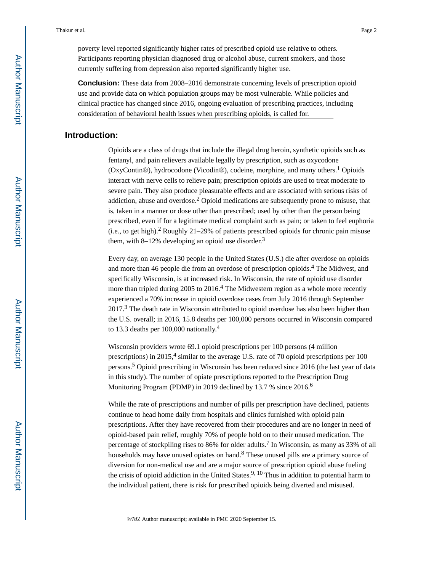poverty level reported significantly higher rates of prescribed opioid use relative to others. Participants reporting physician diagnosed drug or alcohol abuse, current smokers, and those currently suffering from depression also reported significantly higher use.

**Conclusion:** These data from 2008–2016 demonstrate concerning levels of prescription opioid use and provide data on which population groups may be most vulnerable. While policies and clinical practice has changed since 2016, ongoing evaluation of prescribing practices, including consideration of behavioral health issues when prescribing opioids, is called for.

#### **Introduction:**

Opioids are a class of drugs that include the illegal drug heroin, synthetic opioids such as fentanyl, and pain relievers available legally by prescription, such as oxycodone (OxyContin®), hydrocodone (Vicodin®), codeine, morphine, and many others.<sup>1</sup> Opioids interact with nerve cells to relieve pain; prescription opioids are used to treat moderate to severe pain. They also produce pleasurable effects and are associated with serious risks of addiction, abuse and overdose.<sup>2</sup> Opioid medications are subsequently prone to misuse, that is, taken in a manner or dose other than prescribed; used by other than the person being prescribed, even if for a legitimate medical complaint such as pain; or taken to feel euphoria (i.e., to get high).<sup>2</sup> Roughly 21–29% of patients prescribed opioids for chronic pain misuse them, with 8–12% developing an opioid use disorder.<sup>3</sup>

Every day, on average 130 people in the United States (U.S.) die after overdose on opioids and more than 46 people die from an overdose of prescription opioids.<sup>4</sup> The Midwest, and specifically Wisconsin, is at increased risk. In Wisconsin, the rate of opioid use disorder more than tripled during 2005 to 2016.<sup>4</sup> The Midwestern region as a whole more recently experienced a 70% increase in opioid overdose cases from July 2016 through September 2017.<sup>3</sup> The death rate in Wisconsin attributed to opioid overdose has also been higher than the U.S. overall; in 2016, 15.8 deaths per 100,000 persons occurred in Wisconsin compared to 13.3 deaths per 100,000 nationally.<sup>4</sup>

Wisconsin providers wrote 69.1 opioid prescriptions per 100 persons (4 million prescriptions) in 2015,<sup>4</sup> similar to the average U.S. rate of 70 opioid prescriptions per 100 persons.<sup>5</sup> Opioid prescribing in Wisconsin has been reduced since 2016 (the last year of data in this study). The number of opiate prescriptions reported to the Prescription Drug Monitoring Program (PDMP) in 2019 declined by 13.7 % since 2016.<sup>6</sup>

While the rate of prescriptions and number of pills per prescription have declined, patients continue to head home daily from hospitals and clinics furnished with opioid pain prescriptions. After they have recovered from their procedures and are no longer in need of opioid-based pain relief, roughly 70% of people hold on to their unused medication. The percentage of stockpiling rises to 86% for older adults.<sup>7</sup> In Wisconsin, as many as 33% of all households may have unused opiates on hand.<sup>8</sup> These unused pills are a primary source of diversion for non-medical use and are a major source of prescription opioid abuse fueling the crisis of opioid addiction in the United States.<sup>9, 10</sup> Thus in addition to potential harm to the individual patient, there is risk for prescribed opioids being diverted and misused.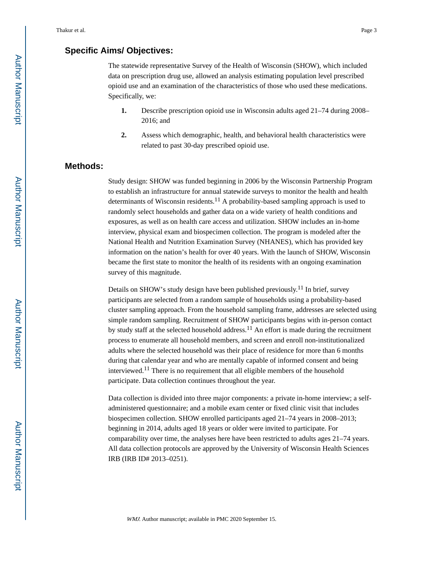#### **Specific Aims/ Objectives:**

The statewide representative Survey of the Health of Wisconsin (SHOW), which included data on prescription drug use, allowed an analysis estimating population level prescribed opioid use and an examination of the characteristics of those who used these medications. Specifically, we:

- **1.** Describe prescription opioid use in Wisconsin adults aged 21–74 during 2008– 2016; and
- **2.** Assess which demographic, health, and behavioral health characteristics were related to past 30-day prescribed opioid use.

#### **Methods:**

Study design: SHOW was funded beginning in 2006 by the Wisconsin Partnership Program to establish an infrastructure for annual statewide surveys to monitor the health and health determinants of Wisconsin residents.<sup>11</sup> A probability-based sampling approach is used to randomly select households and gather data on a wide variety of health conditions and exposures, as well as on health care access and utilization. SHOW includes an in-home interview, physical exam and biospecimen collection. The program is modeled after the National Health and Nutrition Examination Survey (NHANES), which has provided key information on the nation's health for over 40 years. With the launch of SHOW, Wisconsin became the first state to monitor the health of its residents with an ongoing examination survey of this magnitude.

Details on SHOW's study design have been published previously.11 In brief, survey participants are selected from a random sample of households using a probability-based cluster sampling approach. From the household sampling frame, addresses are selected using simple random sampling. Recruitment of SHOW participants begins with in-person contact by study staff at the selected household address.<sup>11</sup> An effort is made during the recruitment process to enumerate all household members, and screen and enroll non-institutionalized adults where the selected household was their place of residence for more than 6 months during that calendar year and who are mentally capable of informed consent and being interviewed.11 There is no requirement that all eligible members of the household participate. Data collection continues throughout the year.

Data collection is divided into three major components: a private in-home interview; a selfadministered questionnaire; and a mobile exam center or fixed clinic visit that includes biospecimen collection. SHOW enrolled participants aged 21–74 years in 2008–2013; beginning in 2014, adults aged 18 years or older were invited to participate. For comparability over time, the analyses here have been restricted to adults ages 21–74 years. All data collection protocols are approved by the University of Wisconsin Health Sciences IRB (IRB ID# 2013–0251).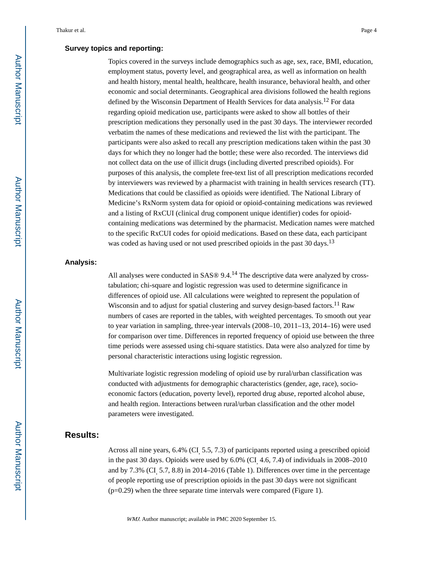#### **Survey topics and reporting:**

Topics covered in the surveys include demographics such as age, sex, race, BMI, education, employment status, poverty level, and geographical area, as well as information on health and health history, mental health, healthcare, health insurance, behavioral health, and other economic and social determinants. Geographical area divisions followed the health regions defined by the Wisconsin Department of Health Services for data analysis.12 For data regarding opioid medication use, participants were asked to show all bottles of their prescription medications they personally used in the past 30 days. The interviewer recorded verbatim the names of these medications and reviewed the list with the participant. The participants were also asked to recall any prescription medications taken within the past 30 days for which they no longer had the bottle; these were also recorded. The interviews did not collect data on the use of illicit drugs (including diverted prescribed opioids). For purposes of this analysis, the complete free-text list of all prescription medications recorded by interviewers was reviewed by a pharmacist with training in health services research (TT). Medications that could be classified as opioids were identified. The National Library of Medicine's RxNorm system data for opioid or opioid-containing medications was reviewed and a listing of RxCUI (clinical drug component unique identifier) codes for opioidcontaining medications was determined by the pharmacist. Medication names were matched to the specific RxCUI codes for opioid medications. Based on these data, each participant was coded as having used or not used prescribed opioids in the past 30 days.<sup>13</sup>

#### **Analysis:**

All analyses were conducted in SAS® 9.4.<sup>14</sup> The descriptive data were analyzed by crosstabulation; chi-square and logistic regression was used to determine significance in differences of opioid use. All calculations were weighted to represent the population of Wisconsin and to adjust for spatial clustering and survey design-based factors.<sup>11</sup> Raw numbers of cases are reported in the tables, with weighted percentages. To smooth out year to year variation in sampling, three-year intervals (2008–10, 2011–13, 2014–16) were used for comparison over time. Differences in reported frequency of opioid use between the three time periods were assessed using chi-square statistics. Data were also analyzed for time by personal characteristic interactions using logistic regression.

Multivariate logistic regression modeling of opioid use by rural/urban classification was conducted with adjustments for demographic characteristics (gender, age, race), socioeconomic factors (education, poverty level), reported drug abuse, reported alcohol abuse, and health region. Interactions between rural/urban classification and the other model parameters were investigated.

#### **Results:**

Across all nine years, 6.4% (CI, 5.5, 7.3) of participants reported using a prescribed opioid in the past 30 days. Opioids were used by 6.0% (CI, 4.6, 7.4) of individuals in 2008–2010 and by 7.3% (CI, 5.7, 8.8) in 2014–2016 (Table 1). Differences over time in the percentage of people reporting use of prescription opioids in the past 30 days were not significant (p=0.29) when the three separate time intervals were compared (Figure 1).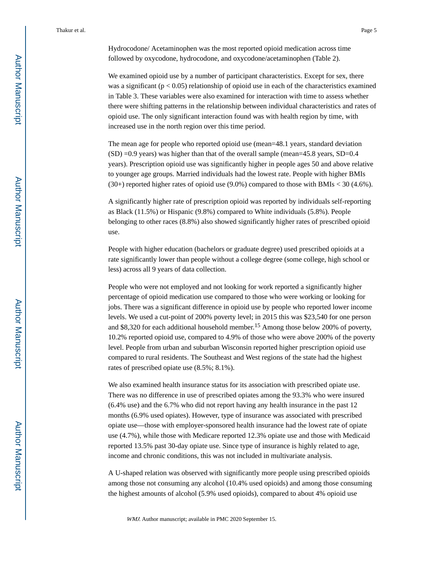We examined opioid use by a number of participant characteristics. Except for sex, there was a significant ( $p < 0.05$ ) relationship of opioid use in each of the characteristics examined in Table 3. These variables were also examined for interaction with time to assess whether there were shifting patterns in the relationship between individual characteristics and rates of opioid use. The only significant interaction found was with health region by time, with increased use in the north region over this time period.

The mean age for people who reported opioid use (mean=48.1 years, standard deviation  $(SD) = 0.9$  years) was higher than that of the overall sample (mean=45.8 years, SD=0.4 years). Prescription opioid use was significantly higher in people ages 50 and above relative to younger age groups. Married individuals had the lowest rate. People with higher BMIs  $(30+)$  reported higher rates of opioid use  $(9.0%)$  compared to those with BMIs < 30 (4.6%).

A significantly higher rate of prescription opioid was reported by individuals self-reporting as Black (11.5%) or Hispanic (9.8%) compared to White individuals (5.8%). People belonging to other races (8.8%) also showed significantly higher rates of prescribed opioid use.

People with higher education (bachelors or graduate degree) used prescribed opioids at a rate significantly lower than people without a college degree (some college, high school or less) across all 9 years of data collection.

People who were not employed and not looking for work reported a significantly higher percentage of opioid medication use compared to those who were working or looking for jobs. There was a significant difference in opioid use by people who reported lower income levels. We used a cut-point of 200% poverty level; in 2015 this was \$23,540 for one person and \$8,320 for each additional household member.15 Among those below 200% of poverty, 10.2% reported opioid use, compared to 4.9% of those who were above 200% of the poverty level. People from urban and suburban Wisconsin reported higher prescription opioid use compared to rural residents. The Southeast and West regions of the state had the highest rates of prescribed opiate use (8.5%; 8.1%).

We also examined health insurance status for its association with prescribed opiate use. There was no difference in use of prescribed opiates among the 93.3% who were insured (6.4% use) and the 6.7% who did not report having any health insurance in the past 12 months (6.9% used opiates). However, type of insurance was associated with prescribed opiate use—those with employer-sponsored health insurance had the lowest rate of opiate use (4.7%), while those with Medicare reported 12.3% opiate use and those with Medicaid reported 13.5% past 30-day opiate use. Since type of insurance is highly related to age, income and chronic conditions, this was not included in multivariate analysis.

A U-shaped relation was observed with significantly more people using prescribed opioids among those not consuming any alcohol (10.4% used opioids) and among those consuming the highest amounts of alcohol (5.9% used opioids), compared to about 4% opioid use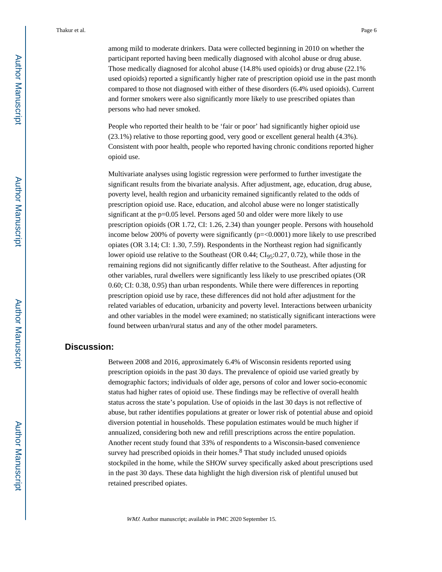among mild to moderate drinkers. Data were collected beginning in 2010 on whether the participant reported having been medically diagnosed with alcohol abuse or drug abuse. Those medically diagnosed for alcohol abuse (14.8% used opioids) or drug abuse (22.1% used opioids) reported a significantly higher rate of prescription opioid use in the past month compared to those not diagnosed with either of these disorders (6.4% used opioids). Current and former smokers were also significantly more likely to use prescribed opiates than persons who had never smoked.

People who reported their health to be 'fair or poor' had significantly higher opioid use (23.1%) relative to those reporting good, very good or excellent general health (4.3%). Consistent with poor health, people who reported having chronic conditions reported higher opioid use.

Multivariate analyses using logistic regression were performed to further investigate the significant results from the bivariate analysis. After adjustment, age, education, drug abuse, poverty level, health region and urbanicity remained significantly related to the odds of prescription opioid use. Race, education, and alcohol abuse were no longer statistically significant at the p=0.05 level. Persons aged 50 and older were more likely to use prescription opioids (OR 1.72, CI: 1.26, 2.34) than younger people. Persons with household income below 200% of poverty were significantly (p=<0.0001) more likely to use prescribed opiates (OR 3.14; CI: 1.30, 7.59). Respondents in the Northeast region had significantly lower opioid use relative to the Southeast (OR  $0.44$ ; CI<sub>95</sub>:0.27, 0.72), while those in the remaining regions did not significantly differ relative to the Southeast. After adjusting for other variables, rural dwellers were significantly less likely to use prescribed opiates (OR 0.60; CI: 0.38, 0.95) than urban respondents. While there were differences in reporting prescription opioid use by race, these differences did not hold after adjustment for the related variables of education, urbanicity and poverty level. Interactions between urbanicity and other variables in the model were examined; no statistically significant interactions were found between urban/rural status and any of the other model parameters.

#### **Discussion:**

Between 2008 and 2016, approximately 6.4% of Wisconsin residents reported using prescription opioids in the past 30 days. The prevalence of opioid use varied greatly by demographic factors; individuals of older age, persons of color and lower socio-economic status had higher rates of opioid use. These findings may be reflective of overall health status across the state's population. Use of opioids in the last 30 days is not reflective of abuse, but rather identifies populations at greater or lower risk of potential abuse and opioid diversion potential in households. These population estimates would be much higher if annualized, considering both new and refill prescriptions across the entire population. Another recent study found that 33% of respondents to a Wisconsin-based convenience survey had prescribed opioids in their homes. $8$  That study included unused opioids stockpiled in the home, while the SHOW survey specifically asked about prescriptions used in the past 30 days. These data highlight the high diversion risk of plentiful unused but retained prescribed opiates.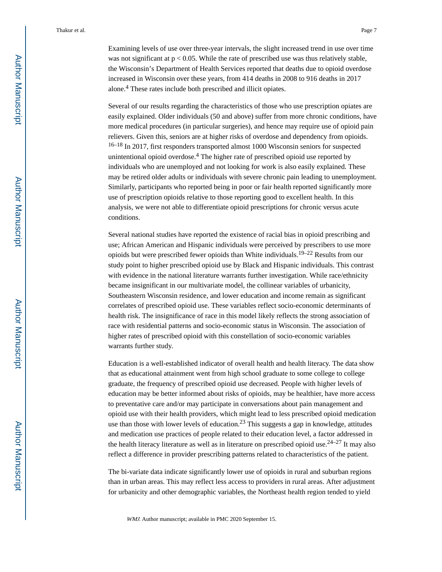Examining levels of use over three-year intervals, the slight increased trend in use over time was not significant at  $p < 0.05$ . While the rate of prescribed use was thus relatively stable, the Wisconsin's Department of Health Services reported that deaths due to opioid overdose increased in Wisconsin over these years, from 414 deaths in 2008 to 916 deaths in 2017 alone.<sup>4</sup> These rates include both prescribed and illicit opiates.

Several of our results regarding the characteristics of those who use prescription opiates are easily explained. Older individuals (50 and above) suffer from more chronic conditions, have more medical procedures (in particular surgeries), and hence may require use of opioid pain relievers. Given this, seniors are at higher risks of overdose and dependency from opioids. 16–18 In 2017, first responders transported almost 1000 Wisconsin seniors for suspected unintentional opioid overdose.<sup>4</sup> The higher rate of prescribed opioid use reported by individuals who are unemployed and not looking for work is also easily explained. These may be retired older adults or individuals with severe chronic pain leading to unemployment. Similarly, participants who reported being in poor or fair health reported significantly more use of prescription opioids relative to those reporting good to excellent health. In this analysis, we were not able to differentiate opioid prescriptions for chronic versus acute conditions.

Several national studies have reported the existence of racial bias in opioid prescribing and use; African American and Hispanic individuals were perceived by prescribers to use more opioids but were prescribed fewer opioids than White individuals.<sup>19–22</sup> Results from our study point to higher prescribed opioid use by Black and Hispanic individuals. This contrast with evidence in the national literature warrants further investigation. While race/ethnicity became insignificant in our multivariate model, the collinear variables of urbanicity, Southeastern Wisconsin residence, and lower education and income remain as significant correlates of prescribed opioid use. These variables reflect socio-economic determinants of health risk. The insignificance of race in this model likely reflects the strong association of race with residential patterns and socio-economic status in Wisconsin. The association of higher rates of prescribed opioid with this constellation of socio-economic variables warrants further study.

Education is a well-established indicator of overall health and health literacy. The data show that as educational attainment went from high school graduate to some college to college graduate, the frequency of prescribed opioid use decreased. People with higher levels of education may be better informed about risks of opioids, may be healthier, have more access to preventative care and/or may participate in conversations about pain management and opioid use with their health providers, which might lead to less prescribed opioid medication use than those with lower levels of education.<sup>23</sup> This suggests a gap in knowledge, attitudes and medication use practices of people related to their education level, a factor addressed in the health literacy literature as well as in literature on prescribed opioid use.<sup>24–27</sup> It may also reflect a difference in provider prescribing patterns related to characteristics of the patient.

The bi-variate data indicate significantly lower use of opioids in rural and suburban regions than in urban areas. This may reflect less access to providers in rural areas. After adjustment for urbanicity and other demographic variables, the Northeast health region tended to yield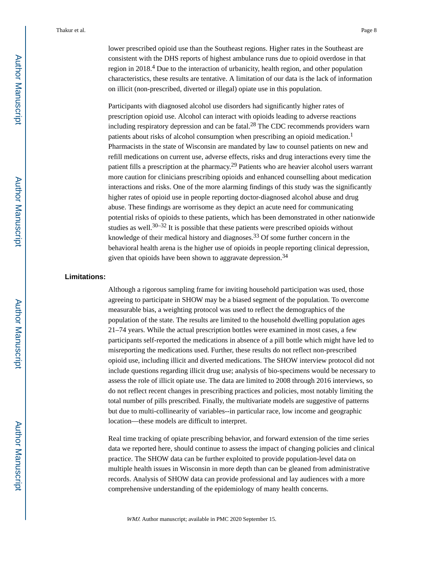lower prescribed opioid use than the Southeast regions. Higher rates in the Southeast are consistent with the DHS reports of highest ambulance runs due to opioid overdose in that region in 2018.<sup>4</sup> Due to the interaction of urbanicity, health region, and other population characteristics, these results are tentative. A limitation of our data is the lack of information on illicit (non-prescribed, diverted or illegal) opiate use in this population.

Participants with diagnosed alcohol use disorders had significantly higher rates of prescription opioid use. Alcohol can interact with opioids leading to adverse reactions including respiratory depression and can be fatal.<sup>28</sup> The CDC recommends providers warn patients about risks of alcohol consumption when prescribing an opioid medication.<sup>1</sup> Pharmacists in the state of Wisconsin are mandated by law to counsel patients on new and refill medications on current use, adverse effects, risks and drug interactions every time the patient fills a prescription at the pharmacy.29 Patients who are heavier alcohol users warrant more caution for clinicians prescribing opioids and enhanced counselling about medication interactions and risks. One of the more alarming findings of this study was the significantly higher rates of opioid use in people reporting doctor-diagnosed alcohol abuse and drug abuse. These findings are worrisome as they depict an acute need for communicating potential risks of opioids to these patients, which has been demonstrated in other nationwide studies as well. $30-32$  It is possible that these patients were prescribed opioids without knowledge of their medical history and diagnoses.<sup>33</sup> Of some further concern in the behavioral health arena is the higher use of opioids in people reporting clinical depression, given that opioids have been shown to aggravate depression.<sup>34</sup>

#### **Limitations:**

Although a rigorous sampling frame for inviting household participation was used, those agreeing to participate in SHOW may be a biased segment of the population. To overcome measurable bias, a weighting protocol was used to reflect the demographics of the population of the state. The results are limited to the household dwelling population ages 21–74 years. While the actual prescription bottles were examined in most cases, a few participants self-reported the medications in absence of a pill bottle which might have led to misreporting the medications used. Further, these results do not reflect non-prescribed opioid use, including illicit and diverted medications. The SHOW interview protocol did not include questions regarding illicit drug use; analysis of bio-specimens would be necessary to assess the role of illicit opiate use. The data are limited to 2008 through 2016 interviews, so do not reflect recent changes in prescribing practices and policies, most notably limiting the total number of pills prescribed. Finally, the multivariate models are suggestive of patterns but due to multi-collinearity of variables--in particular race, low income and geographic location—these models are difficult to interpret.

Real time tracking of opiate prescribing behavior, and forward extension of the time series data we reported here, should continue to assess the impact of changing policies and clinical practice. The SHOW data can be further exploited to provide population-level data on multiple health issues in Wisconsin in more depth than can be gleaned from administrative records. Analysis of SHOW data can provide professional and lay audiences with a more comprehensive understanding of the epidemiology of many health concerns.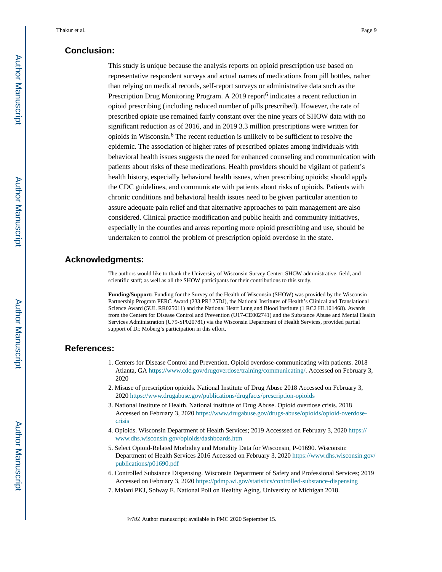#### **Conclusion:**

This study is unique because the analysis reports on opioid prescription use based on representative respondent surveys and actual names of medications from pill bottles, rather than relying on medical records, self-report surveys or administrative data such as the Prescription Drug Monitoring Program. A 2019 report<sup>6</sup> indicates a recent reduction in opioid prescribing (including reduced number of pills prescribed). However, the rate of prescribed opiate use remained fairly constant over the nine years of SHOW data with no significant reduction as of 2016, and in 2019 3.3 million prescriptions were written for opioids in Wisconsin.<sup>6</sup> The recent reduction is unlikely to be sufficient to resolve the epidemic. The association of higher rates of prescribed opiates among individuals with behavioral health issues suggests the need for enhanced counseling and communication with patients about risks of these medications. Health providers should be vigilant of patient's health history, especially behavioral health issues, when prescribing opioids; should apply the CDC guidelines, and communicate with patients about risks of opioids. Patients with chronic conditions and behavioral health issues need to be given particular attention to assure adequate pain relief and that alternative approaches to pain management are also considered. Clinical practice modification and public health and community initiatives, especially in the counties and areas reporting more opioid prescribing and use, should be undertaken to control the problem of prescription opioid overdose in the state.

#### **Acknowledgments:**

The authors would like to thank the University of Wisconsin Survey Center; SHOW administrative, field, and scientific staff; as well as all the SHOW participants for their contributions to this study.

**Funding/Support:** Funding for the Survey of the Health of Wisconsin (SHOW) was provided by the Wisconsin Partnership Program PERC Award (233 PRJ 25DJ), the National Institutes of Health's Clinical and Translational Science Award (5UL RR025011) and the National Heart Lung and Blood Institute (1 RC2 HL101468). Awards from the Centers for Disease Control and Prevention (U17-CE002741) and the Substance Abuse and Mental Health Services Administration (U79-SP020781) via the Wisconsin Department of Health Services, provided partial support of Dr. Moberg's participation in this effort.

#### **References:**

- 1. Centers for Disease Control and Prevention. Opioid overdose-communicating with patients. 2018 Atlanta, GA<https://www.cdc.gov/drugoverdose/training/communicating/>. Accessed on February 3, 2020
- 2. Misuse of prescription opioids. National Institute of Drug Abuse 2018 Accessed on February 3, 2020<https://www.drugabuse.gov/publications/drugfacts/prescription-opioids>
- 3. National Institute of Health. National institute of Drug Abuse. Opioid overdose crisis. 2018 Accessed on February 3, 2020 [https://www.drugabuse.gov/drugs-abuse/opioids/opioid-overdose](https://www.drugabuse.gov/drugs-abuse/opioids/opioid-overdose-crisis)[crisis](https://www.drugabuse.gov/drugs-abuse/opioids/opioid-overdose-crisis)
- 4. Opioids. Wisconsin Department of Health Services; 2019 Accesssed on February 3, 2020 [https://](https://www.dhs.wisconsin.gov/opioids/dashboards.htm) [www.dhs.wisconsin.gov/opioids/dashboards.htm](https://www.dhs.wisconsin.gov/opioids/dashboards.htm)
- 5. Select Opioid-Related Morbidity and Mortality Data for Wisconsin, P-01690. Wisconsin: Department of Health Services 2016 Accessed on February 3, 2020 [https://www.dhs.wisconsin.gov/](https://www.dhs.wisconsin.gov/publications/p01690.pdf) [publications/p01690.pdf](https://www.dhs.wisconsin.gov/publications/p01690.pdf)
- 6. Controlled Substance Dispensing. Wisconsin Department of Safety and Professional Services; 2019 Accessed on February 3, 2020<https://pdmp.wi.gov/statistics/controlled-substance-dispensing>
- 7. Malani PKJ, Solway E. National Poll on Healthy Aging. University of Michigan 2018.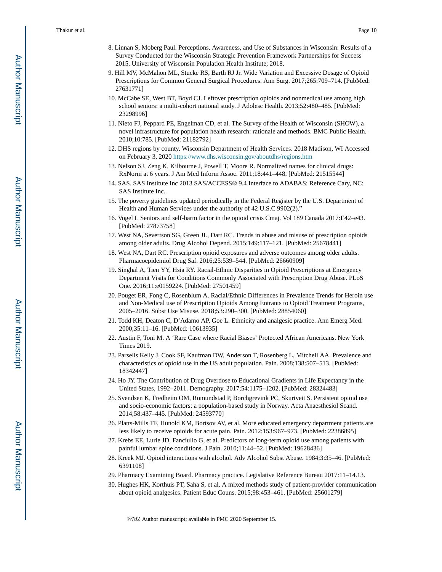- 8. Linnan S, Moberg Paul. Perceptions, Awareness, and Use of Substances in Wisconsin: Results of a Survey Conducted for the Wisconsin Strategic Prevention Framework Partnerships for Success 2015. University of Wisconsin Population Health Institute; 2018.
- 9. Hill MV, McMahon ML, Stucke RS, Barth RJ Jr. Wide Variation and Excessive Dosage of Opioid Prescriptions for Common General Surgical Procedures. Ann Surg. 2017;265:709–714. [PubMed: 27631771]
- 10. McCabe SE, West BT, Boyd CJ. Leftover prescription opioids and nonmedical use among high school seniors: a multi-cohort national study. J Adolesc Health. 2013;52:480–485. [PubMed: 23298996]
- 11. Nieto FJ, Peppard PE, Engelman CD, et al. The Survey of the Health of Wisconsin (SHOW), a novel infrastructure for population health research: rationale and methods. BMC Public Health. 2010;10:785. [PubMed: 21182792]
- 12. DHS regions by county. Wisconsin Department of Health Services. 2018 Madison, WI Accessed on February 3, 2020<https://www.dhs.wisconsin.gov/aboutdhs/regions.htm>
- 13. Nelson SJ, Zeng K, Kilbourne J, Powell T, Moore R. Normalized names for clinical drugs: RxNorm at 6 years. J Am Med Inform Assoc. 2011;18:441–448. [PubMed: 21515544]
- 14. SAS. SAS Institute Inc 2013 SAS/ACCESS® 9.4 Interface to ADABAS: Reference Cary, NC: SAS Institute Inc.
- 15. The poverty guidelines updated periodically in the Federal Register by the U.S. Department of Health and Human Services under the authority of 42 U.S.C 9902(2)."
- 16. Vogel L Seniors and self-harm factor in the opioid crisis Cmaj. Vol 189 Canada 2017:E42–e43. [PubMed: 27873758]
- 17. West NA, Severtson SG, Green JL, Dart RC. Trends in abuse and misuse of prescription opioids among older adults. Drug Alcohol Depend. 2015;149:117–121. [PubMed: 25678441]
- 18. West NA, Dart RC. Prescription opioid exposures and adverse outcomes among older adults. Pharmacoepidemiol Drug Saf. 2016;25:539–544. [PubMed: 26660909]
- 19. Singhal A, Tien YY, Hsia RY. Racial-Ethnic Disparities in Opioid Prescriptions at Emergency Department Visits for Conditions Commonly Associated with Prescription Drug Abuse. PLoS One. 2016;11:e0159224. [PubMed: 27501459]
- 20. Pouget ER, Fong C, Rosenblum A. Racial/Ethnic Differences in Prevalence Trends for Heroin use and Non-Medical use of Prescription Opioids Among Entrants to Opioid Treatment Programs, 2005–2016. Subst Use Misuse. 2018;53:290–300. [PubMed: 28854060]
- 21. Todd KH, Deaton C, D'Adamo AP, Goe L. Ethnicity and analgesic practice. Ann Emerg Med. 2000;35:11–16. [PubMed: 10613935]
- 22. Austin F, Toni M. A 'Rare Case where Racial Biases' Protected African Americans. New York Times 2019.
- 23. Parsells Kelly J, Cook SF, Kaufman DW, Anderson T, Rosenberg L, Mitchell AA. Prevalence and characteristics of opioid use in the US adult population. Pain. 2008;138:507–513. [PubMed: 18342447]
- 24. Ho JY. The Contribution of Drug Overdose to Educational Gradients in Life Expectancy in the United States, 1992–2011. Demography. 2017;54:1175–1202. [PubMed: 28324483]
- 25. Svendsen K, Fredheim OM, Romundstad P, Borchgrevink PC, Skurtveit S. Persistent opioid use and socio-economic factors: a population-based study in Norway. Acta Anaesthesiol Scand. 2014;58:437–445. [PubMed: 24593770]
- 26. Platts-Mills TF, Hunold KM, Bortsov AV, et al. More educated emergency department patients are less likely to receive opioids for acute pain. Pain. 2012;153:967–973. [PubMed: 22386895]
- 27. Krebs EE, Lurie JD, Fanciullo G, et al. Predictors of long-term opioid use among patients with painful lumbar spine conditions. J Pain. 2010;11:44–52. [PubMed: 19628436]
- 28. Kreek MJ. Opioid interactions with alcohol. Adv Alcohol Subst Abuse. 1984;3:35–46. [PubMed: 6391108]
- 29. Pharmacy Examining Board. Pharmacy practice. Legislative Reference Bureau 2017:11–14.13.
- 30. Hughes HK, Korthuis PT, Saha S, et al. A mixed methods study of patient-provider communication about opioid analgesics. Patient Educ Couns. 2015;98:453–461. [PubMed: 25601279]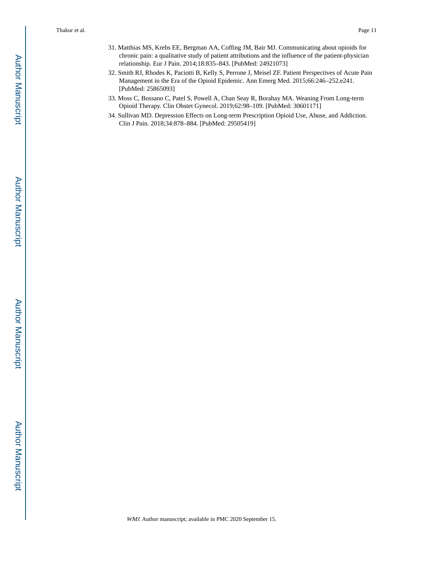- 31. Matthias MS, Krebs EE, Bergman AA, Coffing JM, Bair MJ. Communicating about opioids for chronic pain: a qualitative study of patient attributions and the influence of the patient-physician relationship. Eur J Pain. 2014;18:835–843. [PubMed: 24921073]
- 32. Smith RJ, Rhodes K, Paciotti B, Kelly S, Perrone J, Meisel ZF. Patient Perspectives of Acute Pain Management in the Era of the Opioid Epidemic. Ann Emerg Med. 2015;66:246–252.e241. [PubMed: 25865093]
- 33. Moss C, Bossano C, Patel S, Powell A, Chan Seay R, Borahay MA. Weaning From Long-term Opioid Therapy. Clin Obstet Gynecol. 2019;62:98–109. [PubMed: 30601171]
- 34. Sullivan MD. Depression Effects on Long-term Prescription Opioid Use, Abuse, and Addiction. Clin J Pain. 2018;34:878–884. [PubMed: 29505419]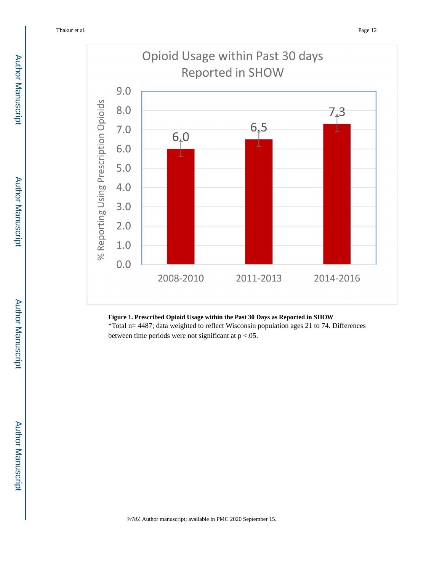

#### **Figure 1. Prescribed Opioid Usage within the Past 30 Days as Reported in SHOW**

\*Total n= 4487; data weighted to reflect Wisconsin population ages 21 to 74. Differences between time periods were not significant at p <.05.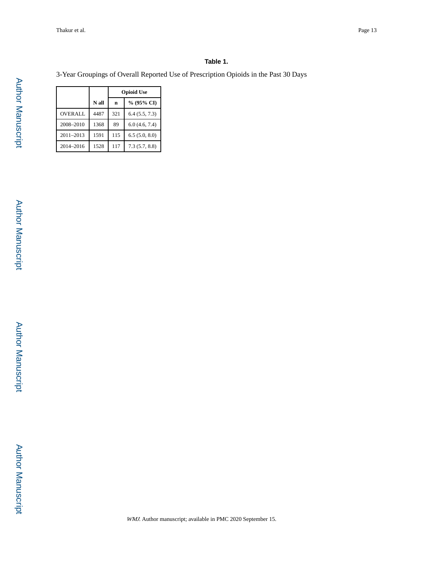#### **Table 1.**

3-Year Groupings of Overall Reported Use of Prescription Opioids in the Past 30 Days

|                |       | <b>Opioid Use</b> |               |  |  |  |
|----------------|-------|-------------------|---------------|--|--|--|
|                | N all | $\mathbf n$       | % (95% CI)    |  |  |  |
| <b>OVERALL</b> | 4487  | 321               | 6.4(5.5, 7.3) |  |  |  |
| 2008-2010      | 1368  | 89                | 6.0(4.6, 7.4) |  |  |  |
| 2011-2013      | 1591  | 115               | 6.5(5.0, 8.0) |  |  |  |
| 2014-2016      | 1528  | 117               | 7.3(5.7, 8.8) |  |  |  |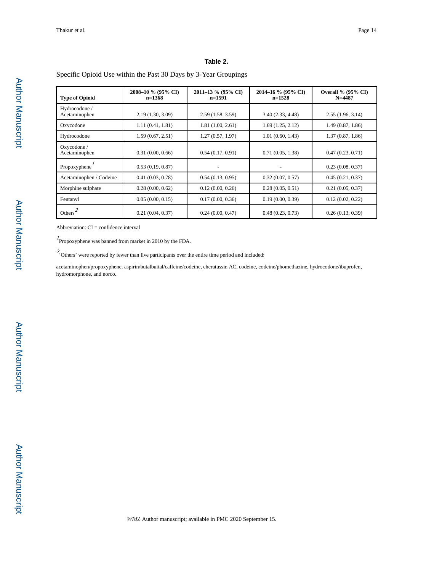#### **Table 2.**

Specific Opioid Use within the Past 30 Days by 3-Year Groupings

| <b>Type of Opioid</b>          | 2008-10 % (95% CI)<br>$n=1368$ | 2011-13 % (95% CI)<br>$n=1591$ | 2014–16 % (95% CI)<br>$n=1528$ | <b>Overall % (95% CI)</b><br>$N = 4487$ |
|--------------------------------|--------------------------------|--------------------------------|--------------------------------|-----------------------------------------|
| Hydrocodone /<br>Acetaminophen | 2.19 (1.30, 3.09)              | 2.59(1.58, 3.59)               | 3.40(2.33, 4.48)               | 2.55(1.96, 3.14)                        |
| Oxycodone                      | 1.11(0.41, 1.81)               | 1.81(1.00, 2.61)               | 1.69(1.25, 2.12)               | 1.49(0.87, 1.86)                        |
| Hydrocodone                    | 1.59(0.67, 2.51)               | 1.27(0.57, 1.97)               | 1.01(0.60, 1.43)               | 1.37(0.87, 1.86)                        |
| Oxycodone /<br>Acetaminophen   | 0.31(0.00, 0.66)               | 0.54(0.17, 0.91)               | 0.71(0.05, 1.38)               | 0.47(0.23, 0.71)                        |
| Propoxyphene $\overline{ }$    | 0.53(0.19, 0.87)               |                                |                                | 0.23(0.08, 0.37)                        |
| Acetaminophen / Codeine        | 0.41(0.03, 0.78)               | 0.54(0.13, 0.95)               | 0.32(0.07, 0.57)               | 0.45(0.21, 0.37)                        |
| Morphine sulphate              | 0.28(0.00, 0.62)               | 0.12(0.00, 0.26)               | 0.28(0.05, 0.51)               | 0.21(0.05, 0.37)                        |
| Fentanyl                       | 0.05(0.00, 0.15)               | 0.17(0.00, 0.36)               | 0.19(0.00, 0.39)               | 0.12(0.02, 0.22)                        |
| Others <sup>*</sup>            | 0.21(0.04, 0.37)               | 0.24(0.00, 0.47)               | 0.48(0.23, 0.73)               | 0.26(0.13, 0.39)                        |

Abbreviation: CI = confidence interval

<sup>1</sup> Propoxyphene was banned from market in 2010 by the FDA.

 $2\overline{'}$  Others' were reported by fewer than five participants over the entire time period and included:

acetaminophen/propoxyphene, aspirin/butalbuital/caffeine/codeine, cheratussin AC, codeine, codeine/phomethazine, hydrocodone/ibuprofen, hydromorphone, and norco.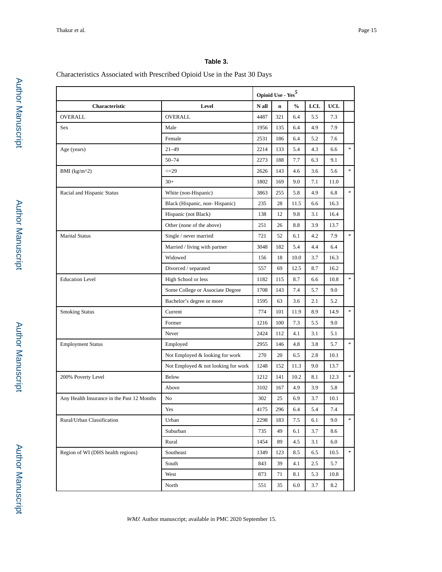#### **Table 3.**

#### Characteristics Associated with Prescribed Opioid Use in the Past 30 Days

|                                            |                                     |       | Opioid Use - $\mathrm{Yes}^5$ |               |            |            |                 |
|--------------------------------------------|-------------------------------------|-------|-------------------------------|---------------|------------|------------|-----------------|
| Characteristic                             | Level                               | N all | $\mathbf n$                   | $\frac{0}{0}$ | <b>LCL</b> | <b>UCL</b> |                 |
| <b>OVERALL</b>                             | <b>OVERALL</b>                      | 4487  | 321                           | 6.4           | 5.5        | 7.3        |                 |
| Sex                                        | Male                                | 1956  | 135                           | 6.4           | 4.9        | 7.9        |                 |
|                                            | Female                              | 2531  | 186                           | 6.4           | 5.2        | 7.6        |                 |
| Age (years)                                | $21 - 49$                           | 2214  | 133                           | 5.4           | 4.3        | 6.6        | $\ast$          |
|                                            | $50 - 74$                           | 2273  | 188                           | 7.7           | 6.3        | 9.1        |                 |
| BMI (kg/m^2)                               | $\leq 29$                           | 2626  | 143                           | 4.6           | 3.6        | 5.6        | $\ast$          |
|                                            | $30+$                               | 1802  | 169                           | 9.0           | 7.1        | 11.0       |                 |
| Racial and Hispanic Status                 | White (non-Hispanic)                | 3863  | 255                           | 5.8           | 4.9        | 6.8        | $\ast$          |
|                                            | Black (Hispanic, non-Hispanic)      | 235   | 28                            | 11.5          | 6.6        | 16.3       |                 |
|                                            | Hispanic (not Black)                | 138   | 12                            | 9.8           | 3.1        | 16.4       |                 |
|                                            | Other (none of the above)           | 251   | 26                            | 8.8           | 3.9        | 13.7       |                 |
| <b>Marital Status</b>                      | Single / never married              | 721   | 52                            | 6.1           | 4.2        | 7.9        | $\ast$          |
|                                            | Married / living with partner       | 3048  | 182                           | 5.4           | 4.4        | 6.4        |                 |
|                                            | Widowed                             | 156   | 18                            | 10.0          | 3.7        | 16.3       |                 |
|                                            | Divorced / separated                | 557   | 69                            | 12.5          | 8.7        | 16.2       |                 |
| <b>Education Level</b>                     | High School or less                 | 1182  | 115                           | 8.7           | 6.6        | 10.8       | $\ast$          |
|                                            | Some College or Associate Degree    | 1708  | 143                           | 7.4           | 5.7        | 9.0        |                 |
|                                            | Bachelor's degree or more           | 1595  | 63                            | 3.6           | 2.1        | 5.2        |                 |
| <b>Smoking Status</b>                      | Current                             | 774   | 101                           | 11.9          | 8.9        | 14.9       | $\ast$          |
|                                            | Former                              | 1216  | 100                           | 7.3           | 5.5        | 9.0        |                 |
|                                            | Never                               | 2424  | 112                           | 4.1           | 3.1        | 5.1        |                 |
| <b>Employment Status</b>                   | Employed                            | 2955  | 146                           | 4.8           | 3.8        | 5.7        | $\mathcal{R}^-$ |
|                                            | Not Employed & looking for work     | 270   | 20                            | 6.5           | 2.8        | 10.1       |                 |
|                                            | Not Employed & not looking for work | 1248  | 152                           | 11.3          | 9.0        | 13.7       |                 |
| 200% Poverty Level                         | <b>Below</b>                        | 1212  | 141                           | 10.2          | 8.1        | 12.3       | $\ast$          |
|                                            | Above                               | 3102  | 167                           | 4.9           | 3.9        | 5.8        |                 |
| Any Health Insurance in the Past 12 Months | No                                  | 302   | 25                            | 6.9           | 3.7        | 10.1       |                 |
|                                            | Yes                                 | 4175  | 296                           | 6.4           | 5.4        | 7.4        |                 |
| Rural/Urban Classification                 | Urban                               | 2298  | 183                           | 7.5           | 6.1        | 9.0        | $\ast$          |
|                                            | Suburban                            | 735   | 49                            | 6.1           | 3.7        | 8.6        |                 |
|                                            | Rural                               | 1454  | 89                            | 4.5           | 3.1        | 6.0        |                 |
| Region of WI (DHS health regions)          | Southeast                           | 1349  | 123                           | 8.5           | 6.5        | 10.5       | $\mathcal{R}^-$ |
|                                            | South                               | 843   | 39                            | 4.1           | 2.5        | 5.7        |                 |
|                                            | West                                | 873   | 71                            | 8.1           | 5.3        | 10.8       |                 |
|                                            | North                               | 551   | 35                            | 6.0           | 3.7        | 8.2        |                 |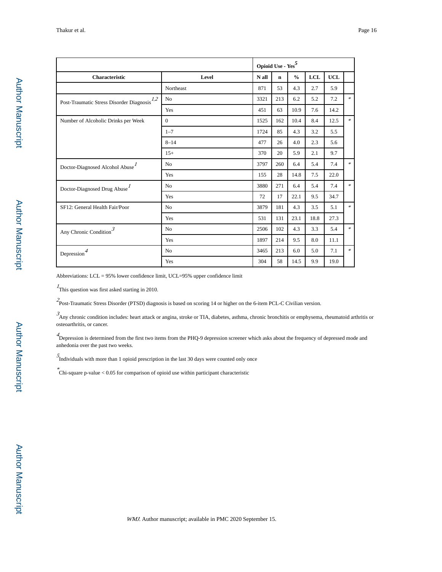|                                              |                | Opioid Use - $\mathrm{Yes}^5$ |             |               |            |            |        |
|----------------------------------------------|----------------|-------------------------------|-------------|---------------|------------|------------|--------|
| Characteristic                               | Level          | N all                         | $\mathbf n$ | $\frac{0}{0}$ | <b>LCL</b> | <b>UCL</b> |        |
|                                              | Northeast      | 871                           | 53          | 4.3           | 2.7        | 5.9        |        |
| Post-Traumatic Stress Disorder Diagnosis 1.2 | N <sub>o</sub> | 3321                          | 213         | 6.2           | 5.2        | 7.2        | $\ast$ |
|                                              | Yes            | 451                           | 63          | 10.9          | 7.6        | 14.2       |        |
| Number of Alcoholic Drinks per Week          | $\Omega$       | 1525                          | 162         | 10.4          | 8.4        | 12.5       | $\ast$ |
|                                              | $1 - 7$        | 1724                          | 85          | 4.3           | 3.2        | 5.5        |        |
|                                              | $8 - 14$       | 477                           | 26          | 4.0           | 2.3        | 5.6        |        |
|                                              | $15+$          | 370                           | 20          | 5.9           | 2.1        | 9.7        |        |
| Doctor-Diagnosed Alcohol Abuse <sup>1</sup>  | N <sub>0</sub> | 3797                          | 260         | 6.4           | 5.4        | 7.4        | $\ast$ |
|                                              | Yes            | 155                           | 28          | 14.8          | 7.5        | 22.0       |        |
| Doctor-Diagnosed Drug Abuse <sup>1</sup>     | N <sub>o</sub> | 3880                          | 271         | 6.4           | 5.4        | 7.4        | $\ast$ |
|                                              | Yes            | 72                            | 17          | 22.1          | 9.5        | 34.7       |        |
| SF12: General Health Fair/Poor               | N <sub>o</sub> | 3879                          | 181         | 4.3           | 3.5        | 5.1        | $\ast$ |
|                                              | Yes            | 531                           | 131         | 23.1          | 18.8       | 27.3       |        |
| Any Chronic Condition $\mathfrak{I}$         | N <sub>o</sub> | 2506                          | 102         | 4.3           | 3.3        | 5.4        | $\ast$ |
|                                              | Yes            | 1897                          | 214         | 9.5           | 8.0        | 11.1       |        |
| Depression $4$                               | N <sub>o</sub> | 3465                          | 213         | 6.0           | 5.0        | 7.1        | $\ast$ |
|                                              | Yes            | 304                           | 58          | 14.5          | 9.9        | 19.0       |        |

Abbreviations: LCL = 95% lower confidence limit, UCL=95% upper confidence limit

 $<sup>I</sup>$ This question was first asked starting in 2010.</sup>

2 Post-Traumatic Stress Disorder (PTSD) diagnosis is based on scoring 14 or higher on the 6-item PCL-C Civilian version.

3 Any chronic condition includes: heart attack or angina, stroke or TIA, diabetes, asthma, chronic bronchitis or emphysema, rheumatoid arthritis or osteoarthritis, or cancer.

4<br>Depression is determined from the first two items from the PHQ-9 depression screener which asks about the frequency of depressed mode and anhedonia over the past two weeks.

5 Individuals with more than 1 opioid prescription in the last 30 days were counted only once

\* Chi-square p-value < 0.05 for comparison of opioid use within participant characteristic